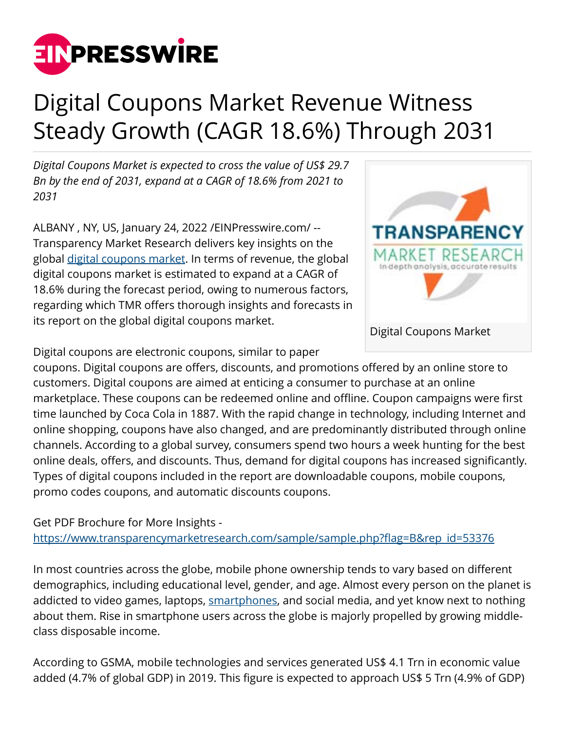

## Digital Coupons Market Revenue Witness Steady Growth (CAGR 18.6%) Through 2031

*Digital Coupons Market is expected to cross the value of US\$ 29.7 Bn by the end of 2031, expand at a CAGR of 18.6% from 2021 to 2031*

ALBANY , NY, US, January 24, 2022 [/EINPresswire.com](http://www.einpresswire.com)/ -- Transparency Market Research delivers key insights on the global [digital coupons market.](https://www.transparencymarketresearch.com/digital-coupons-market.html) In terms of revenue, the global digital coupons market is estimated to expand at a CAGR of 18.6% during the forecast period, owing to numerous factors, regarding which TMR offers thorough insights and forecasts in its report on the global digital coupons market.



Digital coupons are electronic coupons, similar to paper

coupons. Digital coupons are offers, discounts, and promotions offered by an online store to customers. Digital coupons are aimed at enticing a consumer to purchase at an online marketplace. These coupons can be redeemed online and offline. Coupon campaigns were first time launched by Coca Cola in 1887. With the rapid change in technology, including Internet and online shopping, coupons have also changed, and are predominantly distributed through online channels. According to a global survey, consumers spend two hours a week hunting for the best online deals, offers, and discounts. Thus, demand for digital coupons has increased significantly. Types of digital coupons included in the report are downloadable coupons, mobile coupons, promo codes coupons, and automatic discounts coupons.

Get PDF Brochure for More Insights -

[https://www.transparencymarketresearch.com/sample/sample.php?flag=B&rep\\_id=53376](https://www.transparencymarketresearch.com/sample/sample.php?flag=B&rep_id=53376)

In most countries across the globe, mobile phone ownership tends to vary based on different demographics, including educational level, gender, and age. Almost every person on the planet is addicted to video games, laptops, [smartphones,](https://www.transparencymarketresearch.com/smartphone-market.html) and social media, and yet know next to nothing about them. Rise in smartphone users across the globe is majorly propelled by growing middleclass disposable income.

According to GSMA, mobile technologies and services generated US\$ 4.1 Trn in economic value added (4.7% of global GDP) in 2019. This figure is expected to approach US\$ 5 Trn (4.9% of GDP)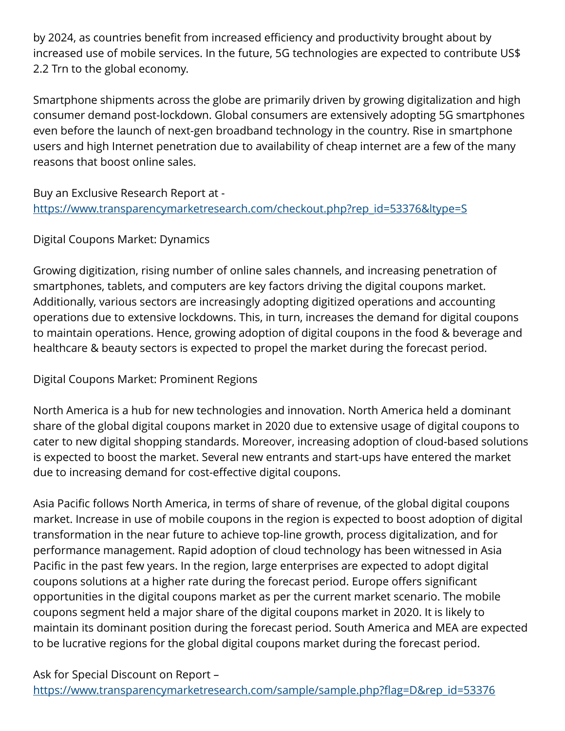by 2024, as countries benefit from increased efficiency and productivity brought about by increased use of mobile services. In the future, 5G technologies are expected to contribute US\$ 2.2 Trn to the global economy.

Smartphone shipments across the globe are primarily driven by growing digitalization and high consumer demand post-lockdown. Global consumers are extensively adopting 5G smartphones even before the launch of next-gen broadband technology in the country. Rise in smartphone users and high Internet penetration due to availability of cheap internet are a few of the many reasons that boost online sales.

Buy an Exclusive Research Report at [https://www.transparencymarketresearch.com/checkout.php?rep\\_id=53376&ltype=S](https://www.transparencymarketresearch.com/checkout.php?rep_id=53376&ltype=S)

## Digital Coupons Market: Dynamics

Growing digitization, rising number of online sales channels, and increasing penetration of smartphones, tablets, and computers are key factors driving the digital coupons market. Additionally, various sectors are increasingly adopting digitized operations and accounting operations due to extensive lockdowns. This, in turn, increases the demand for digital coupons to maintain operations. Hence, growing adoption of digital coupons in the food & beverage and healthcare & beauty sectors is expected to propel the market during the forecast period.

Digital Coupons Market: Prominent Regions

North America is a hub for new technologies and innovation. North America held a dominant share of the global digital coupons market in 2020 due to extensive usage of digital coupons to cater to new digital shopping standards. Moreover, increasing adoption of cloud-based solutions is expected to boost the market. Several new entrants and start-ups have entered the market due to increasing demand for cost-effective digital coupons.

Asia Pacific follows North America, in terms of share of revenue, of the global digital coupons market. Increase in use of mobile coupons in the region is expected to boost adoption of digital transformation in the near future to achieve top-line growth, process digitalization, and for performance management. Rapid adoption of cloud technology has been witnessed in Asia Pacific in the past few years. In the region, large enterprises are expected to adopt digital coupons solutions at a higher rate during the forecast period. Europe offers significant opportunities in the digital coupons market as per the current market scenario. The mobile coupons segment held a major share of the digital coupons market in 2020. It is likely to maintain its dominant position during the forecast period. South America and MEA are expected to be lucrative regions for the global digital coupons market during the forecast period.

Ask for Special Discount on Report – [https://www.transparencymarketresearch.com/sample/sample.php?flag=D&rep\\_id=53376](https://www.transparencymarketresearch.com/sample/sample.php?flag=D&rep_id=53376)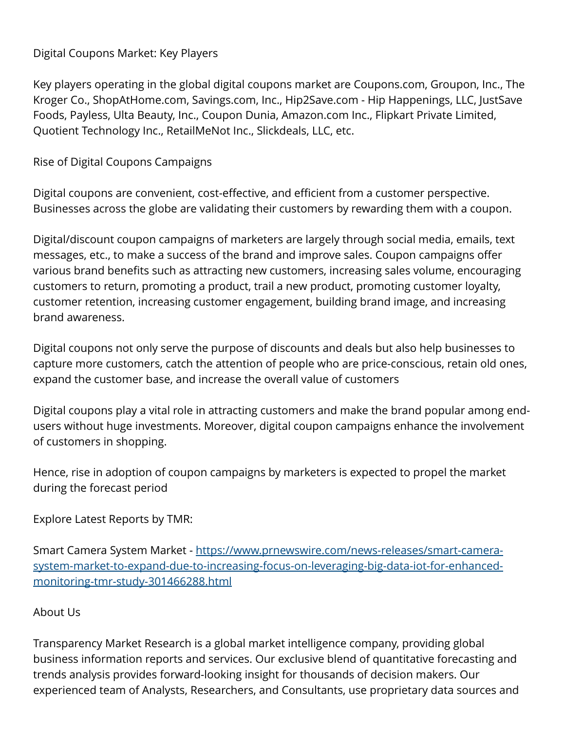## Digital Coupons Market: Key Players

Key players operating in the global digital coupons market are Coupons.com, Groupon, Inc., The Kroger Co., ShopAtHome.com, Savings.com, Inc., Hip2Save.com - Hip Happenings, LLC, JustSave Foods, Payless, Ulta Beauty, Inc., Coupon Dunia, Amazon.com Inc., Flipkart Private Limited, Quotient Technology Inc., RetailMeNot Inc., Slickdeals, LLC, etc.

Rise of Digital Coupons Campaigns

Digital coupons are convenient, cost-effective, and efficient from a customer perspective. Businesses across the globe are validating their customers by rewarding them with a coupon.

Digital/discount coupon campaigns of marketers are largely through social media, emails, text messages, etc., to make a success of the brand and improve sales. Coupon campaigns offer various brand benefits such as attracting new customers, increasing sales volume, encouraging customers to return, promoting a product, trail a new product, promoting customer loyalty, customer retention, increasing customer engagement, building brand image, and increasing brand awareness.

Digital coupons not only serve the purpose of discounts and deals but also help businesses to capture more customers, catch the attention of people who are price-conscious, retain old ones, expand the customer base, and increase the overall value of customers

Digital coupons play a vital role in attracting customers and make the brand popular among endusers without huge investments. Moreover, digital coupon campaigns enhance the involvement of customers in shopping.

Hence, rise in adoption of coupon campaigns by marketers is expected to propel the market during the forecast period

Explore Latest Reports by TMR:

Smart Camera System Market - [https://www.prnewswire.com/news-releases/smart-camera](https://www.prnewswire.com/news-releases/smart-camera-system-market-to-expand-due-to-increasing-focus-on-leveraging-big-data-iot-for-enhanced-monitoring-tmr-study-301466288.html)[system-market-to-expand-due-to-increasing-focus-on-leveraging-big-data-iot-for-enhanced](https://www.prnewswire.com/news-releases/smart-camera-system-market-to-expand-due-to-increasing-focus-on-leveraging-big-data-iot-for-enhanced-monitoring-tmr-study-301466288.html)[monitoring-tmr-study-301466288.html](https://www.prnewswire.com/news-releases/smart-camera-system-market-to-expand-due-to-increasing-focus-on-leveraging-big-data-iot-for-enhanced-monitoring-tmr-study-301466288.html)

## About Us

Transparency Market Research is a global market intelligence company, providing global business information reports and services. Our exclusive blend of quantitative forecasting and trends analysis provides forward-looking insight for thousands of decision makers. Our experienced team of Analysts, Researchers, and Consultants, use proprietary data sources and